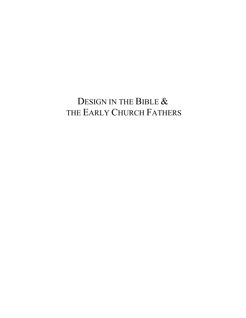# DESIGN IN THE BIBLE  $\&$ THE EARLY CHURCH FATHERS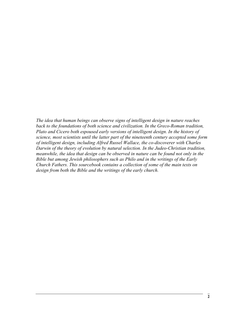*The idea that human beings can observe signs of intelligent design in nature reaches back to the foundations of both science and civilization. In the Greco-Roman tradition, Plato and Cicero both espoused early versions of intelligent design. In the history of science, most scientists until the latter part of the nineteenth century accepted some form of intelligent design, including Alfred Russel Wallace, the co-discoverer with Charles Darwin of the theory of evolution by natural selection. In the Judeo-Christian tradition, meanwhile, the idea that design can be observed in nature can be found not only in the Bible but among Jewish philosophers such as Philo and in the writings of the Early Church Fathers. This sourcebook contains a collection of some of the main texts on design from both the Bible and the writings of the early church.*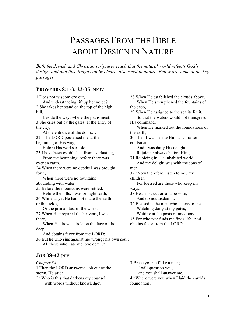# PASSAGES FROM THE BIBLE ABOUT DESIGN IN NATURE

*Both the Jewish and Christian scriptures teach that the natural world reflects God's design, and that this design can be clearly discerned in nature. Below are some of the key passages.*

## **PROVERBS 8:1-3, 22-35** [NKJV]

| 1 Does not wisdom cry out,                    |
|-----------------------------------------------|
| And understanding lift up her voice?          |
| 2 She takes her stand on the top of the high  |
| hill,                                         |
| Beside the way, where the paths meet.         |
| 3 She cries out by the gates, at the entry of |
| the city,                                     |
| At the entrance of the doors                  |
| 22 "The LORD possessed me at the              |
| beginning of His way,                         |
| Before His works of old.                      |
| 23 I have been established from everlasting,  |
| From the beginning, before there was          |
| ever an earth.                                |
| 24 When there were no depths I was brought    |
| forth,                                        |
| When there were no fountains                  |
| abounding with water.                         |
| 25 Before the mountains were settled,         |
| Before the hills, I was brought forth;        |
| 26 While as yet He had not made the earth     |
| or the fields,                                |
| Or the primal dust of the world.              |
| 27 When He prepared the heavens, I was        |
| there,                                        |
| When He drew a circle on the face of the      |
| deep,                                         |
| And obtains favor from the LORD;              |
|                                               |

36 But he who sins against me wrongs his own soul; All those who hate me love death."

# **JOB 38-42** [NIV]

## *Chapter 38*

1 Then the LORD answered Job out of the storm. He said:

2 "Who is this that darkens my counsel with words without knowledge?

28 When He established the clouds above, When He strengthened the fountains of the deep,

29 When He assigned to the sea its limit, So that the waters would not transgress

His command,

 When He marked out the foundations of the earth,

30 Then I was beside Him as a master craftsman;

 And I was daily His delight, Rejoicing always before Him,

31 Rejoicing in His inhabited world,

 And my delight was with the sons of men.

32 "Now therefore, listen to me, my children,

 For blessed are those who keep my ways.

33 Hear instruction and be wise, And do not disdain it.

34 Blessed is the man who listens to me, Watching daily at my gates,

Waiting at the posts of my doors.

35 For whoever finds me finds life, And obtains favor from the LORD.

3 Brace yourself like a man; I will question you, and you shall answer me. 4 "Where were you when I laid the earth's foundation?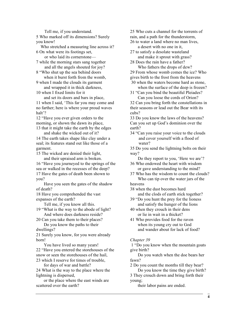Tell me, if you understand.

5 Who marked off its dimensions? Surely you know!

 Who stretched a measuring line across it? 6 On what were its footings set,

or who laid its cornerstone—

7 while the morning stars sang together and all the angels shouted for joy?

8 "Who shut up the sea behind doors when it burst forth from the womb,

9 when I made the clouds its garment and wrapped it in thick darkness,

10 when I fixed limits for it

and set its doors and bars in place,

11 when I said, 'This far you may come and no farther; here is where your proud waves halt'?

12 "Have you ever given orders to the morning, or shown the dawn its place, 13 that it might take the earth by the edges

 and shake the wicked out of it? 14 The earth takes shape like clay under a seal; its features stand out like those of a garment.

15 The wicked are denied their light,

 and their upraised arm is broken. 16 "Have you journeyed to the springs of the sea or walked in the recesses of the deep? 17 Have the gates of death been shown to you?

 Have you seen the gates of the shadow of death?

18 Have you comprehended the vast expanses of the earth?

Tell me, if you know all this.

19 "What is the way to the abode of light? And where does darkness reside?

20 Can you take them to their places? Do you know the paths to their

dwellings? 21 Surely you know, for you were already

born!

 You have lived so many years! 22 "Have you entered the storehouses of the snow or seen the storehouses of the hail, 23 which I reserve for times of trouble,

for days of war and battle?

24 What is the way to the place where the lightning is dispersed,

 or the place where the east winds are scattered over the earth?

25 Who cuts a channel for the torrents of

rain, and a path for the thunderstorm,

26 to water a land where no man lives, a desert with no one in it,

27 to satisfy a desolate wasteland and make it sprout with grass?

28 Does the rain have a father? Who fathers the drops of dew?

29 From whose womb comes the ice? Who gives birth to the frost from the heavens

 30 when the waters become hard as stone, when the surface of the deep is frozen?

31 "Can you bind the beautiful Pleiades? Can you loose the cords of Orion?

32 Can you bring forth the constellations in their seasons or lead out the Bear with its cubs?

33 Do you know the laws of the heavens? Can you set up God's dominion over the earth?

34 "Can you raise your voice to the clouds and cover yourself with a flood of water?

35 Do you send the lightning bolts on their way?

- Do they report to you, 'Here we are'? 36 Who endowed the heart with wisdom
- or gave understanding to the mind? 37 Who has the wisdom to count the clouds? Who can tip over the water jars of the

heavens

38 when the dust becomes hard and the clods of earth stick together?

39 "Do you hunt the prey for the lioness and satisfy the hunger of the lions

40 when they crouch in their dens or lie in wait in a thicket?

41 Who provides food for the raven when its young cry out to God and wander about for lack of food?

#### *Chapter 39*

 1 "Do you know when the mountain goats give birth?

 Do you watch when the doe bears her fawn?

2 Do you count the months till they bear? Do you know the time they give birth?

3 They crouch down and bring forth their young;

their labor pains are ended.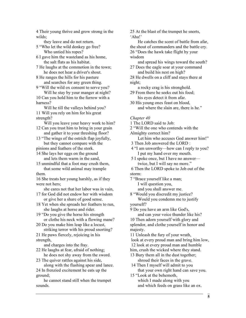4 Their young thrive and grow strong in the wilds;

- they leave and do not return.
- 5 "Who let the wild donkey go free? Who untied his ropes?
- 6 I gave him the wasteland as his home, the salt flats as his habitat.
- 7 He laughs at the commotion in the town; he does not hear a driver's shout.
- 8 He ranges the hills for his pasture and searches for any green thing.
- 9 "Will the wild ox consent to serve you? Will he stay by your manger at night?
- 10 Can you hold him to the furrow with a harness?
- Will he till the valleys behind you? 11 Will you rely on him for his great strength?
- Will you leave your heavy work to him? 12 Can you trust him to bring in your grain
- and gather it to your threshing floor?
- 13 "The wings of the ostrich flap joyfully, but they cannot compare with the
- pinions and feathers of the stork. 14 She lays her eggs on the ground
- and lets them warm in the sand,
- 15 unmindful that a foot may crush them, that some wild animal may trample them.
- 16 She treats her young harshly, as if they were not hers;
- she cares not that her labor was in vain,
- 17 for God did not endow her with wisdom or give her a share of good sense.
- 18 Yet when she spreads her feathers to run, she laughs at horse and rider.
- 19 "Do you give the horse his strength or clothe his neck with a flowing mane?
- 20 Do you make him leap like a locust, striking terror with his proud snorting?
- 21 He paws fiercely, rejoicing in his strength,
	- and charges into the fray.
- 22 He laughs at fear, afraid of nothing; he does not shy away from the sword.
- 23 The quiver rattles against his side, along with the flashing spear and lance.
- 24 In frenzied excitement he eats up the ground;
- he cannot stand still when the trumpet sounds.

25 At the blast of the trumpet he snorts, 'Aha!'

 He catches the scent of battle from afar, the shout of commanders and the battle cry. 26 "Does the hawk take flight by your wisdom

 and spread his wings toward the south? 27 Does the eagle soar at your command

- and build his nest on high? 28 He dwells on a cliff and stays there at night;
- a rocky crag is his stronghold. 29 From there he seeks out his food;
- his eyes detect it from afar. 30 His young ones feast on blood,
	- and where the slain are, there is he."

## *Chapter 40*

- 1 The LORD said to Job:
- 2 "Will the one who contends with the

Almighty correct him?

- Let him who accuses God answer him!" 3 Then Job answered the LORD :
- 4 "I am unworthy—how can I reply to you? I put my hand over my mouth.
- 5 I spoke once, but I have no answer twice, but I will say no more."
- 6 Then the LORD spoke to Job out of the storm:
- 7 "Brace yourself like a man; I will question you, and you shall answer me.
- 8 "Would you discredit my justice? Would you condemn me to justify yourself?
- 
- 9 Do you have an arm like God's, and can your voice thunder like his?
- 10 Then adorn yourself with glory and splendor, and clothe yourself in honor and majesty.
- 11 Unleash the fury of your wrath,
- look at every proud man and bring him low, 12 look at every proud man and humble
- him, crush the wicked where they stand. 13 Bury them all in the dust together;
- shroud their faces in the grave.
- 14 Then I myself will admit to you that your own right hand can save you.
- 15 "Look at the behemoth, which I made along with you and which feeds on grass like an ox.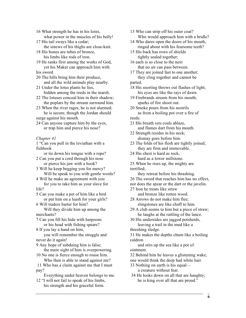16 What strength he has in his loins, what power in the muscles of his belly!

- 17 His tail sways like a cedar; the sinews of his thighs are close-knit.
- 18 His bones are tubes of bronze, his limbs like rods of iron.
- 19 He ranks first among the works of God, yet his Maker can approach him with his sword.
- 20 The hills bring him their produce, and all the wild animals play nearby.
- 21 Under the lotus plants he lies, hidden among the reeds in the marsh.
- 22 The lotuses conceal him in their shadow; the poplars by the stream surround him.
- 23 When the river rages, he is not alarmed; he is secure, though the Jordan should surge against his mouth.
- 24 Can anyone capture him by the eyes, or trap him and pierce his nose?

*Chapter 41*

1 "Can you pull in the leviathan with a fishhook

 or tie down his tongue with a rope? 2 Can you put a cord through his nose

- or pierce his jaw with a hook?
- 3 Will he keep begging you for mercy? Will he speak to you with gentle words?
- 4 Will he make an agreement with you for you to take him as your slave for
- life?

5 Can you make a pet of him like a bird or put him on a leash for your girls?

6 Will traders barter for him?

 Will they divide him up among the merchants?

7 Can you fill his hide with harpoons or his head with fishing spears?

8 If you lay a hand on him,

 you will remember the struggle and never do it again!

9 Any hope of subduing him is false; the mere sight of him is overpowering.

10 No one is fierce enough to rouse him. Who then is able to stand against me?

 11 Who has a claim against me that I must pay?

Everything under heaven belongs to me.

12 "I will not fail to speak of his limbs, his strength and his graceful form.

- 13 Who can strip off his outer coat? Who would approach him with a bridle?
- 14 Who dares open the doors of his mouth, ringed about with his fearsome teeth?
- 15 His back has rows of shields tightly sealed together;

16 each is so close to the next that no air can pass between.

17 They are joined fast to one another; they cling together and cannot be parted.

18 His snorting throws out flashes of light; his eyes are like the rays of dawn.

19 Firebrands stream from his mouth; sparks of fire shoot out.

20 Smoke pours from his nostrils as from a boiling pot over a fire of

reeds.

21 His breath sets coals ablaze, and flames dart from his mouth.

22 Strength resides in his neck; dismay goes before him.

23 The folds of his flesh are tightly joined; they are firm and immovable.

24 His chest is hard as rock, hard as a lower millstone.

25 When he rises up, the mighty are terrified;

they retreat before his thrashing.

- 26 The sword that reaches him has no effect,
- nor does the spear or the dart or the javelin.
- 27 Iron he treats like straw and bronze like rotten wood.

28 Arrows do not make him flee;

 slingstones are like chaff to him. 29 A club seems to him but a piece of straw;

 he laughs at the rattling of the lance. 30 His undersides are jagged potsherds,

 leaving a trail in the mud like a threshing sledge.

31 He makes the depths churn like a boiling caldron

 and stirs up the sea like a pot of ointment.

32 Behind him he leaves a glistening wake;

one would think the deep had white hair.

33 Nothing on earth is his equal a creature without fear.

 34 He looks down on all that are haughty; he is king over all that are proud."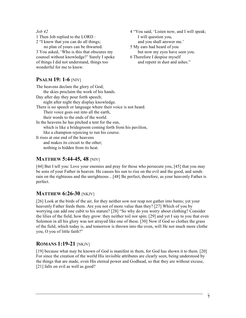## *Job 42*

1 Then Job replied to the LORD : 2 "I know that you can do all things; no plan of yours can be thwarted. 3 You asked, 'Who is this that obscures my counsel without knowledge?' Surely I spoke of things I did not understand, things too wonderful for me to know.

4 "You said, 'Listen now, and I will speak; I will question you, and you shall answer me.'

5 My ears had heard of you but now my eyes have seen you. 6 Therefore I despise myself and repent in dust and ashes."

# **PSALM 19: 1-6** [NIV]

The heavens declare the glory of God; the skies proclaim the work of his hands. Day after day they pour forth speech; night after night they display knowledge. There is no speech or language where their voice is not heard. Their voice goes out into all the earth, their words to the ends of the world. In the heavens he has pitched a tent for the sun, which is like a bridegroom coming forth from his pavilion, like a champion rejoicing to run his course. It rises at one end of the heavens and makes its circuit to the other; nothing is hidden from its heat.

# **MATTHEW 5:44-45, 48** [NIV]

[44] But I tell you: Love your enemies and pray for those who persecute you, [45] that you may be sons of your Father in heaven. He causes his sun to rise on the evil and the good, and sends rain on the righteous and the unrighteous…[48] Be perfect, therefore, as your heavenly Father is perfect.

# **MATTHEW 6:26-30** [NKJV]

[26] Look at the birds of the air, for they neither sow nor reap nor gather into barns; yet your heavenly Father feeds them. Are you not of more value than they? [27] Which of you by worrying can add one cubit to his stature? [28] "So why do you worry about clothing? Consider the lilies of the field, how they grow: they neither toil nor spin; [29] and yet I say to you that even Solomon in all his glory was not arrayed like one of these. [30] Now if God so clothes the grass of the field, which today is, and tomorrow is thrown into the oven, will He not much more clothe you, O you of little faith?"

# **ROMANS 1:19-21** [NKJV]

[19] because what may be known of God is manifest in them, for God has shown it to them. [20] For since the creation of the world His invisible attributes are clearly seen, being understood by the things that are made, even His eternal power and Godhead, so that they are without excuse, [21] falls on evil as well as good?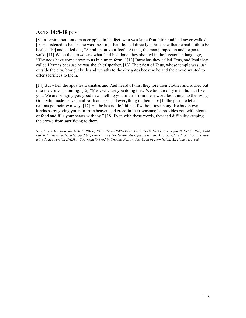## **ACTS 14:8-18** [NIV]

[8] In Lystra there sat a man crippled in his feet, who was lame from birth and had never walked. [9] He listened to Paul as he was speaking. Paul looked directly at him, saw that he had faith to be healed [10] and called out, "Stand up on your feet!" At that, the man jumped up and began to walk. [11] When the crowd saw what Paul had done, they shouted in the Lycaonian language, "The gods have come down to us in human form!" [12] Barnabas they called Zeus, and Paul they called Hermes because he was the chief speaker. [13] The priest of Zeus, whose temple was just outside the city, brought bulls and wreaths to the city gates because he and the crowd wanted to offer sacrifices to them.

[14] But when the apostles Barnabas and Paul heard of this, they tore their clothes and rushed out into the crowd, shouting: [15] "Men, why are you doing this? We too are only men, human like you. We are bringing you good news, telling you to turn from these worthless things to the living God, who made heaven and earth and sea and everything in them. [16] In the past, he let all nations go their own way. [17] Yet he has not left himself without testimony: He has shown kindness by giving you rain from heaven and crops in their seasons; he provides you with plenty of food and fills your hearts with joy." [18] Even with these words, they had difficulty keeping the crowd from sacrificing to them.

*Scripture taken from the HOLY BIBLE, NEW INTERNATIONAL VERSION® [NIV]. Copyright © 1973, 1978, 1984 International Bible Society. Used by permission of Zondervan. All rights reserved. Also, scripture taken from the New King James Version [NKJV]. Copyright © 1982 by Thomas Nelson, Inc. Used by permission. All rights reserved.*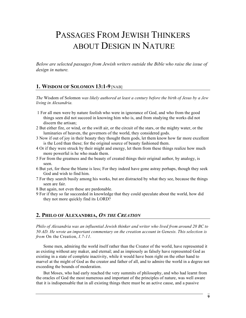# PASSAGES FROM JEWISH THINKERS ABOUT DESIGN IN NATURE

*Below are selected passages from Jewish writers outside the Bible who raise the issue of design in nature.*

## **1. WISDOM OF SOLOMON 13:1-9** [NAB]

*The* Wisdom of Solomon *was likely authored at least a century before the birth of Jesus by a Jew living in Alexandria.*

- 1 For all men were by nature foolish who were in ignorance of God, and who from the good things seen did not succeed in knowing him who is, and from studying the works did not discern the artisan;
- 2 But either fire, or wind, or the swift air, or the circuit of the stars, or the mighty water, or the luminaries of heaven, the governors of the world, they considered gods.
- 3 Now if out of joy in their beauty they thought them gods, let them know how far more excellent is the Lord than these; for the original source of beauty fashioned them.
- 4 Or if they were struck by their might and energy, let them from these things realize how much more powerful is he who made them.
- 5 For from the greatness and the beauty of created things their original author, by analogy, is seen.
- 6 But yet, for these the blame is less; For they indeed have gone astray perhaps, though they seek God and wish to find him.
- 7 For they search busily among his works, but are distracted by what they see, because the things seen are fair.
- 8 But again, not even these are pardonable.
- 9 For if they so far succeeded in knowledge that they could speculate about the world, how did they not more quickly find its LORD?

## **2. PHILO OF ALEXANDRIA,** *ON THE CREATION*

*Philo of Alexandria was an influential Jewish thinker and writer who lived from around 20 BC to 50 AD. He wrote an important commentary on the creation account in Genesis. This selection is from* On the Creation, *I.7-11.*

Some men, admiring the world itself rather than the Creator of the world, have represented it as existing without any maker, and eternal; and as impiously as falsely have represented God as existing in a state of complete inactivity, while it would have been right on the other hand to marvel at the might of God as the creator and father of all, and to admire the world in a degree not exceeding the bounds of moderation.

But Moses, who had early reached the very summits of philosophy, and who had learnt from the oracles of God the most numerous and important of the principles of nature, was well aware that it is indispensable that in all existing things there must be an active cause, and a passive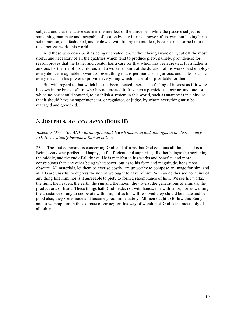subject; and that the active cause is the intellect of the universe... while the passive subject is something inanimate and incapable of motion by any intrinsic power of its own, but having been set in motion, and fashioned, and endowed with life by the intellect, became transformed into that most perfect work, this world.

And those who describe it as being uncreated, do, without being aware of it, cut off the most useful and necessary of all the qualities which tend to produce piety, namely, providence: for reason proves that the father and creator has a care for that which has been created; for a father is anxious for the life of his children, and a workman aims at the duration of his works, and employs every device imaginable to ward off everything that is pernicious or injurious, and is desirous by every means in his power to provide everything which is useful or profitable for them.

But with regard to that which has not been created, there is no feeling of interest as if it were his own in the breast of him who has not created it. It is then a pernicious doctrine, and one for which no one should contend, to establish a system in this world, such as anarchy is in a city, so that it should have no superintendant, or regulator, or judge, by whom everything must be managed and governed.

## **3. JOSEPHUS,** *AGAINST APION* **(BOOK II)**

*Josephus (37-c. 100 AD) was an influential Jewish historian and apologist in the first century, AD. He eventually became a Roman citizen.*

23. …The first command is concerning God, and affirms that God contains all things, and is a Being every way perfect and happy, self-sufficient, and supplying all other beings; the beginning, the middle, and the end of all things. He is manifest in his works and benefits, and more conspicuous than any other being whatsoever; but as to his form and magnitude, he is most obscure. All materials, let them be ever so costly, are unworthy to compose an image for him, and all arts are unartful to express the notion we ought to have of him. We can neither see nor think of any thing like him, nor is it agreeable to piety to form a resemblance of him. We see his works, the light, the heaven, the earth, the sun and the moon, the waters, the generations of animals, the productions of fruits. These things hath God made, not with hands, nor with labor, nor as wanting the assistance of any to cooperate with him; but as his will resolved they should be made and be good also, they were made and became good immediately. All men ought to follow this Being, and to worship him in the exercise of virtue; for this way of worship of God is the most holy of all others.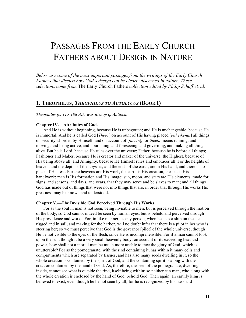# PASSAGES FROM THE EARLY CHURCH FATHERS ABOUT DESIGN IN NATURE

*Below are some of the most important passages from the writings of the Early Church Fathers that discuss how God's design can be clearly discerned in nature. These selections come from* The Early Church Fathers *collection edited by Philip Schaff et. al.*

## **1. THEOPHILUS,** *THEOPHILUS TO AUTOLYCUS* **(BOOK I)**

#### *Theophilus (c. 115-188 AD) was Bishop of Antioch.*

#### **Chapter IV.—Attributes of God.**

And He is without beginning, because He is unbegotten; and He is unchangeable, because He is immortal. And he is called God [*Theos*] on account of His having placed [*tetheikenai*] all things on security afforded by Himself; and on account of [*theein*], for *theein* means running, and moving, and being active, and nourishing, and foreseeing, and governing, and making all things alive. But he is Lord, because He rules over the universe; Father, because he is before all things; Fashioner and Maker, because He is creator and maker of the universe; the Highest, because of His being above all; and Almighty, because He Himself rules and embraces all. For the heights of heaven, and the depths of the abysses, and the ends of the earth, are in His hand, and there is no place of His rest. For the heavens are His work, the earth is His creation, the sea is His handiwork; man is His formation and His image; sun, moon, and stars are His elements, made for signs, and seasons, and days, and years, that they may serve and be slaves to man; and all things God has made out of things that were not into things that are, in order that through His works His greatness may be known and understood.

#### **Chapter V.—The Invisible God Perceived Through His Works.**

For as the soul in man is not seen, being invisible to men, but is perceived through the motion of the body, so God cannot indeed be seen by human eyes, but is beheld and perceived through His providence and works. For, in like manner, as any person, when he sees a ship on the sea rigged and in sail, and making for the harbor, will no doubt infer that there is a pilot in her who is steering her; so we must perceive that God is the governor [pilot] of the whole universe, though He be not visible to the eyes of the flesh, since He is incomprehensible. For if a man cannot look upon the sun, though it be a very small heavenly body, on account of its exceeding heat and power, how shall not a mortal man be much more unable to face the glory of God, which is unutterable? For as the pomegranate, with the rind containing it, has within it many cells and compartments which are separated by tissues, and has also many seeds dwelling in it, so the whole creation is contained by the spirit of God, and the containing spirit is along with the creation contained by the hand of God. As, therefore, the seed of the pomegranate, dwelling inside, cannot see what is outside the rind, itself being within; so neither can man, who along with the whole creation is enclosed by the hand of God, behold God. Then again, an earthly king is believed to exist, even though he be not seen by all; for he is recognized by his laws and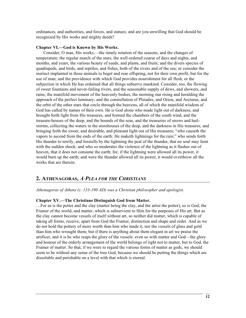ordinances, and authorities, and forces, and statues; and are you unwilling that God should be recognized by His works and mighty deeds?

## **Chapter VI.—God is Known by His Works.**

Consider, O man, His works,—the timely rotation of the seasons, and the changes of temperature; the regular march of the stars; the well-ordered course of days and nights, and months, and years; the various beauty of seeds, and plants, and fruits; and the divers species of quadrupeds, and birds, and reptiles, and fishes, both of the rivers and of the sea; or consider the instinct implanted in these animals to beget and rear offspring, not for their own profit, but for the use of man; and the providence with which God provides nourishment for all flesh, or the subjection in which He has ordained that all things subserve mankind. Consider, too, the flowing of sweet fountains and never-failing rivers, and the seasonable supply of dews, and showers, and rains; the manifold movement of the heavenly bodies, the morning star rising and heralding the approach of the perfect luminary; and the constellation of Pleiades, and Orion, and Arcturus, and the orbit of the other stars that circle through the heavens, all of which the manifold wisdom of God has called by names of their own. He is God alone who made light out of darkness, and brought forth light from His treasures, and formed the chambers of the south wind, and the treasure-houses of the deep, and the bounds of the seas, and the treasuries of snows and hailstorms, collecting the waters in the storehouses of the deep, and the darkness in His treasures, and bringing forth the sweet, and desirable, and pleasant light out of His treasures; "who causeth the vapors to ascend from the ends of the earth: He maketh lightnings for the rain;" who sends forth His thunder to terrify, and foretells by the lightning the peal of the thunder, that no soul may faint with the sudden shock; and who so moderates the violence of the lightning as it flashes out of heaven, that it does not consume the earth; for, if the lightning were allowed all its power, it would burn up the earth; and were the thunder allowed all its power, it would overthrow all the works that are therein.

## **2. ATHENAGORAS,** *A PLEA FOR THE CHRISTIANS*

*Athenagoras of Athens (c. 133-190 AD) was a Christian philosopher and apologist.* 

## **Chapter XV.—The Christians Distinguish God from Matter.**

…For as is the potter and the clay (matter being the clay, and the artist the potter), so is God, the Framer of the world, and matter, which is subservient to Him for the purposes of His art. But as the clay cannot become vessels of itself without art, so neither did matter, which is capable of taking all forms, receive, apart from God the Framer, distinction and shape and order. And as we do not hold the pottery of more worth than him who made it, nor the vessels of glass and gold than him who wrought them; but if there is anything about them elegant in art we praise the artificer, and it is he who reaps the glory of the vessels: even so with matter and God—the glory and honour of the orderly arrangement of the world belongs of right not to matter, but to God, the Framer of matter. So that, if we were to regard the various forms of matter as gods, we should seem to be without any sense of the true God, because we should be putting the things which are dissoluble and perishable on a level with that which is eternal.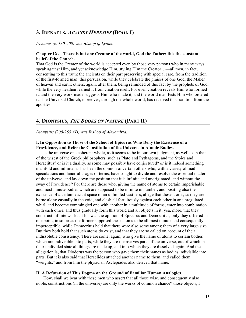## **3. IRENAEUS,** *AGAINST HERESIES* **(BOOK I)**

#### *Irenaeus (c. 130-200) was Bishop of Lyons.*

### **Chapter IX.—There is but one Creator of the world, God the Father: this the constant belief of the Church.**

That God is the Creator of the world is accepted even by those very persons who in many ways speak against Him, and yet acknowledge Him, styling Him the Creator…—all men, in fact, consenting to this truth: the ancients on their part preserving with special care, from the tradition of the first-formed man, this persuasion, while they celebrate the praises of one God, the Maker of heaven and earth; others, again, after them, being reminded of this fact by the prophets of God, while the very heathen learned it from creation itself. For even creation reveals Him who formed it, and the very work made suggests Him who made it, and the world manifests Him who ordered it. The Universal Church, moreover, through the whole world, has received this tradition from the apostles.

## **4. DIONYSIUS,** *THE BOOKS ON NATURE* **(PART II)**

*Dionysius (200-265 AD) was Bishop of Alexandria.* 

## **I. In Opposition to Those of the School of Epicurus Who Deny the Existence of a Providence, and Refer the Constitution of the Universe to Atomic Bodies.**

Is the universe one coherent whole, as it seems to be in our own judgment, as well as in that of the wisest of the Greek philosophers, such as Plato and Pythagoras, and the Stoics and Heraclitus? or is it a duality, as some may possibly have conjectured? or is it indeed something manifold and infinite, as has been the opinion of certain others who, with a variety of mad speculations and fanciful usages of terms, have sought to divide and resolve the essential matter of the universe, and lay down the position that it is infinite and unoriginated, and without the sway of Providence? For there are those who, giving the name of atoms to certain imperishable and most minute bodies which are supposed to be infinite in number, and positing also the existence of a certain vacant space of an unlimited vastness, allege that these atoms, as they are borne along casually in the void, and clash all fortuitously against each other in an unregulated whirl, and become commingled one with another in a multitude of forms, enter into combination with each other, and thus gradually form this world and all objects in it; yea, more, that they construct infinite worlds. This was the opinion of Epicurus and Democritus; only they differed in one point, in so far as the former supposed these atoms to be all most minute and consequently imperceptible, while Democritus held that there were also some among them of a very large size. But they both hold that such atoms do exist, and that they are so called on account of their indissoluble consistency. There are some, again, who give the name of atoms to certain bodies which are indivisible into parts, while they are themselves parts of the universe, out of which in their undivided state all things are made up, and into which they are dissolved again. And the allegation is, that Diodorus was the person who gave them their names as bodies indivisible into parts. But it is also said that Heraclides attached another name to them, and called them "weights;" and from him the physician Asclepiades also derived that name.

#### **II. A Refutation of This Dogma on the Ground of Familiar Human Analogies.**

How, shall we bear with these men who assert that all those wise, and consequently also noble, constructions (in the universe) are only the works of common chance? those objects, I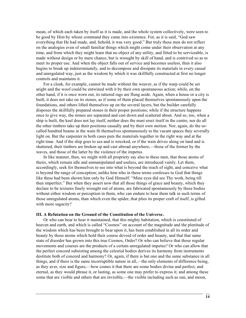mean, of which each taken by itself as it is made, and the whole system collectively, were seen to be good by Him by whose command they came into existence. For, as it is said, "God saw everything that He had made, and, behold, it was very good." But truly these men do not reflect on the analogies even of small familiar things which might come under their observation at any time, and from which they might learn that no object of any utility, and fitted to be serviceable, is made without design or by mere chance, but is wrought by skill of hand, and is contrived so as to meet its proper use. And when the object falls out of service and becomes useless, then it also begins to break up indeterminately, and to decompose and dissipate its materials in every casual and unregulated way, just as the wisdom by which it was skillfully constructed at first no longer controls and maintains it.

For a cloak, for example, cannot be made without the weaver, as if the warp could be set aright and the woof could be entwined with it by their own spontaneous action; while, on the other hand, if it is once worn out, its tattered rags are flung aside. Again, when a house or a city is built, it does not take on its stones, as if some of them placed themselves spontaneously upon the foundations, and others lifted themselves up on the several layers, but the builder carefully disposes the skillfully prepared stones in their proper positions; while if the structure happens once to give way, the stones are separated and cast down and scattered about. And so, too, when a ship is built, the keel does not lay itself, neither does the mast erect itself in the centre, nor do all the other timbers take up their positions casually and by their own motion. Nor, again, do the socalled hundred beams in the wain fit themselves spontaneously to the vacant spaces they severally light on. But the carpenter in both cases puts the materials together in the right way and at the right time. And if the ship goes to sea and is wrecked, or if the wain drives along on land and is shattered, their timbers are broken up and cast abroad anywhere,—those of the former by the waves, and those of the latter by the violence of the impetus.

In like manner, then, we might with all propriety say also to these men, that those atoms of theirs, which remain idle and unmanipulated and useless, are introduced vainly. Let them, accordingly, seek for themselves to see into what is beyond the reach of sight, and conceive what is beyond the range of conception; unlike him who in these terms confesses to God that things like these had been shown him only by God Himself: "Mine eyes did see Thy work, being till then imperfect." But when they assert now that all those things of grace and beauty, which they declare to be textures finely wrought out of atoms, are fabricated spontaneously by these bodies without either wisdom or perception in them, who can endure to hear them talk in such terms of those unregulated atoms, than which even the spider, that plies its proper craft of itself, is gifted with more sagacity?

#### **III. A Refutation on the Ground of the Constitution of the Universe.**

Or who can bear to hear it maintained, that this mighty habitation, which is constituted of heaven and earth, and which is called "Cosmos" on account of the magnitude and the plenitude of the wisdom which has been brought to bear upon it, has been established in all its order and beauty by those atoms which hold their course devoid of order and beauty, and that that same state of disorder has grown into this true Cosmos, Order? Or who can believe that those regular movements and courses are the products of a certain unregulated impetus? Or who can allow that the perfect concord subsisting among the celestial bodies derives its harmony from instruments destitute both of concord and harmony? Or, again, if there is but one and the same substance in all things, and if there is the same incorruptible nature in all,—the only elements of difference being, as they aver, size and figure,—how comes it that there are some bodies divine and perfect, and eternal, as they would phrase it, or lasting, as some one may prefer to express it; and among these some that are visible and others that are invisible,—the visible including such as sun, and moon,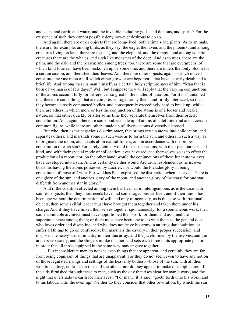and stars, and earth, and water; and the invisible including gods, and demons, and spirits? For the existence of such they cannot possibly deny however desirous to do so.

And again, there are other objects that are long-lived, both animals and plants. As to animals, there are, for example, among birds, as they say, the eagle, the raven, and the phoenix; and among creatures living on land, there are the stag, and the elephant, and the dragon; and among aquatic creatures there are the whales, and such like monsters of the deep. And as to trees, there are the palm, and the oak, and the persea; and among trees, too, there are some that are evergreens, of which kind fourteen have been reckoned up by some one; and there are others that only bloom for a certain season, and then shed their leaves. And there are other objects, again—which indeed constitute the vast mass of all which either grow or are begotten—that have an early death and a brief life. And among these is man himself, as a certain holy scripture says of him: "Man that is born of woman is of few days." Well, but I suppose they will reply that the varying conjunctions of the atoms account fully for differences so great in the matter of duration. For it is maintained that there are some things that are compressed together by them, and firmly interlaced, so that they become closely compacted bodies, and consequently exceedingly hard to break up; while there are others in which more or less the conjunction of the atoms is of a looser and weaker nature, so that either quickly or after some time they separate themselves from their orderly constitution. And, again, there are some bodies made up of atoms of a definite kind and a certain common figure, while there are others made up of diverse atoms diversely disposed.

But who, then, is the sagacious discriminator, that brings certain atoms into collocation, and separates others; and marshals some in such wise as to form the sun, and others in such a way as to originate the moon, and adapts all in natural fitness, and in accordance with the proper constitution of each star? For surely neither would those solar atoms, with their peculiar size and kind, and with their special mode of collocation, ever have reduced themselves so as to effect the production of a moon; nor, on the other hand, would the conjunctions of these lunar atoms ever have developed into a sun. And as certainly neither would Arcturus, resplendent as he is, ever boast his having the atoms possessed by Lucifer, nor would the Pleiades glory in being constituted of those of Orion. For well has Paul expressed the distinction when he says: "There is one glory of the sun, and another glory of the moon, and another glory of the stars: for one star differeth from another star in glory."

And if the coalition effected among them has been an unintelligent one, as is the case with soulless objects, then they must needs have had some sagacious artificer; and if their union has been one without the determination of will, and only of necessity, as is the case with irrational objects, then some skilful leader must have brought them together and taken them under his charge. And if they have linked themselves together spontaneously, for a spontaneous work, then some admirable architect must have apportioned their work for them, and assumed the superintendence among them; or there must have been one to do with them as the general does who loves order and discipline, and who does not leave his army in an irregular condition, or suffer all things to go on confusedly, but marshals the cavalry in their proper succession, and disposes the heavy-armed infantry in their due array, and the javelin-men by themselves, and the archers separately, and the slingers in like manner, and sets each force in its appropriate position, in order that all those equipped in the same way may engage together…

…But inconsiderate men do not see even things that are apparent, and certainly they are far from being cognisant of things that are unapparent. For they do not seem even to have any notion of those regulated risings and settings of the heavenly bodies,—those of the sun, with all their wondrous glory, no less than those of the others; nor do they appear to make due application of the aids furnished through these to men, such as the day that rises clear for man's work, and the night that overshadows earth for man's rest. "For man," it is said, "goeth forth unto his work, and to his labour, until the evening." Neither do they consider that other revolution, by which the sun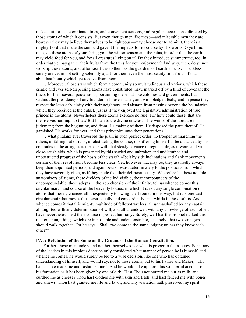makes out for us determinate times, and convenient seasons, and regular successions, directed by those atoms of which it consists. But even though men like these—and miserable men they are, however they may believe themselves to be righteous—may choose not to admit it, there is a mighty Lord that made the sun, and gave it the impetus for its course by His words. O ye blind ones, do these atoms of yours bring you the winter season and the rains, in order that the earth may yield food for you, and for all creatures living on it? Do they introduce summertime, too, in order that ye may gather their fruits from the trees for your enjoyment? And why, then, do ye not worship these atoms, and offer sacrifices to them as the guardians of earth's fruits? Thankless surely are ye, in not setting solemnly apart for them even the most scanty first-fruits of that abundant bounty which ye receive from them.

…Moreover, those stars which form a community so multitudinous and various, which these erratic and ever self-dispersing atoms have constituted, have marked off by a kind of covenant the tracts for their several possessions, portioning these out like colonies and governments, but without the presidency of any founder or house-master; and with pledged fealty and in peace they respect the laws of vicinity with their neighbors, and abstain from passing beyond the boundaries which they received at the outset, just as if they enjoyed the legislative administration of true princes in the atoms. Nevertheless these atoms exercise no rule. For how could these, that are themselves nothing, do that? But listen to the divine oracles: "The works of the Lord are in judgment; from the beginning, and from His making of them, He disposed the parts thereof. He garnished His works for ever, and their principles unto their generations."

…what phalanx ever traversed the plain in such perfect order, no trooper outmarching the others, or falling out of rank, or obstructing the course, or suffering himself to be distanced by his comrades in the array, as is the case with that steady advance in regular file, as it were, and with close-set shields, which is presented by this serried and unbroken and undisturbed and unobstructed progress of the hosts of the stars? Albeit by side inclinations and flank movements certain of their revolutions become less clear. Yet, however that may be, they assuredly always keep their appointed periods, and again bear onward determinately to the positions from which they have severally risen, as if they made that their deliberate study. Wherefore let these notable anatomizers of atoms, these dividers of the indivisible, these compounders of the uncompoundable, these adepts in the apprehension of the infinite, tell us whence comes this circular march and course of the heavenly bodies, in which it is not any single combination of atoms that merely chances all unexpectedly to swing itself round in this way; but it is one vast circular choir that moves thus, ever equally and concordantly, and whirls in these orbits. And whence comes it that this mighty multitude of fellow-travelers, all unmarshalled by any captain, all ungifted with any determination of will, and all unendowed with any knowledge of each other, have nevertheless held their course in perfect harmony? Surely, well has the prophet ranked this matter among things which are impossible and undemonstrable,—namely, that two strangers should walk together. For he says, "Shall two come to the same lodging unless they know each other?"

#### **IV. A Refutation of the Same on the Grounds of the Human Constitution.**

Further, those men understand neither themselves nor what is proper to themselves. For if any of the leaders in this impious doctrine only considered what manner of person he is himself, and whence he comes, he would surely be led to a wise decision, like one who has obtained understanding of himself, and would say, not to these atoms, but to his Father and Maker, "Thy hands have made me and fashioned me." And he would take up, too, this wonderful account of his formation as it has been given by one of old: "Hast Thou not poured me out as milk, and curdled me as cheese? Thou hast clothed me with skin and flesh, and hast fenced me with bones and sinews. Thou hast granted me life and favor, and Thy visitation hath preserved my spirit."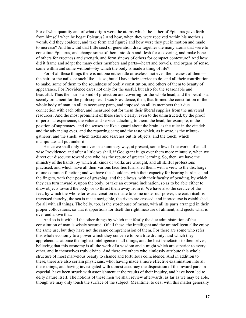For of what quantity and of what origin were the atoms which the father of Epicurus gave forth from himself when he begat Epicurus? And how, when they were received within his mother's womb, did they coalesce, and take form and figure? and how were they put in motion and made to increase? And how did that little seed of generation draw together the many atoms that were to constitute Epicurus, and change some of them into skin and flesh for a covering, and make bone of others for erectness and strength, and form sinews of others for compact contexture? And how did it frame and adapt the many other members and parts—heart and bowels, and organs of sense, some within and some without—by which the body is made a thing of life?

For of all these things there is not one either idle or useless: not even the meanest of them the hair, or the nails, or such like—is so; but all have their service to do, and all their contribution to make, some of them to the soundness of bodily constitution, and others of them to beauty of appearance. For Providence cares not only for the useful, but also for the seasonable and beautiful. Thus the hair is a kind of protection and covering for the whole head, and the beard is a seemly ornament for the philosopher. It was Providence, then, that formed the constitution of the whole body of man, in all its necessary parts, and imposed on all its members their due connection with each other, and measured out for them their liberal supplies from the universal resources. And the most prominent of these show clearly, even to the uninstructed, by the proof of personal experience, the value and service attaching to them: the head, for example, in the position of supremacy, and the senses set like a guard about the brain, as the ruler in the citadel; and the advancing eyes, and the reporting ears; and the taste which, as it were, is the tributegatherer; and the smell, which tracks and searches out its objects: and the touch, which manipulates all put under it.

Hence we shall only run over in a summary way, at present, some few of the works of an allwise Providence; and after a little we shall, if God grant it, go over them more minutely, when we direct our discourse toward one who has the repute of greater learning. So, then, we have the ministry of the hands, by which all kinds of works are wrought, and all skilful professions practised, and which have all their various faculties furnished them, with a view to the discharge of one common function; and we have the shoulders, with their capacity for bearing burdens; and the fingers, with their power of grasping; and the elbows, with their faculty of bending, by which they can turn inwardly, upon the body, or take an outward inclination, so as to be able either to draw objects toward the body, or to thrust them away from it. We have also the service of the feet, by which the whole terrestrial creation is made to come under our power, the earth itself is traversed thereby, the sea is made navigable, the rivers are crossed, and intercourse is established for all with all things. The belly, too, is the storehouse of meats, with all its parts arranged in their proper collocations, so that it apportions for itself the right measure of aliment, and ejects what is over and above that.

And so is it with all the other things by which manifestly the due administration of the constitution of man is wisely secured. Of all these, the intelligent and the unintelligent alike enjoy the same use; but they have not the same comprehension of them. For there are some who refer this whole economy to a power which they conceive to be a true divinity, and which they apprehend as at once the highest intelligence in all things, and the best benefactor to themselves, believing that this economy is all the work of a wisdom and a might which are superior to every other, and in themselves truly divine. And there are others who aimlessly attribute this whole structure of most marvelous beauty to chance and fortuitous coincidence. And in addition to these, there are also certain physicians, who, having made a more effective examination into all these things, and having investigated with utmost accuracy the disposition of the inward parts in especial, have been struck with astonishment at the results of their inquiry, and have been led to deify nature itself. The notions of these men we shall review afterwards, as far as we may be able, though we may only touch the surface of the subject. Meantime, to deal with this matter generally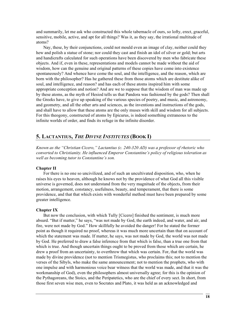and summarily, let me ask who constructed this whole tabernacle of ours, so lofty, erect, graceful, sensitive, mobile, active, and apt for all things? Was it, as they say, the irrational multitude of atoms?

Nay, these, by their conjunctions, could not mould even an image of clay, neither could they hew and polish a statue of stone; nor could they cast and finish an idol of silver or gold; but arts and handicrafts calculated for such operations have been discovered by men who fabricate these objects. And if, even in these, representations and models cannot be made without the aid of wisdom, how can the genuine and original patterns of these copies have come into existence spontaneously? And whence have come the soul, and the intelligence, and the reason, which are born with the philosopher? Has he gathered these from those atoms which are destitute alike of soul, and intelligence, and reason? and has each of these atoms inspired him with some appropriate conception and notion? And are we to suppose that the wisdom of man was made up by these atoms, as the myth of Hesiod tells us that Pandora was fashioned by the gods? Then shall the Greeks have, to give up speaking of the various species of poetry, and music, and astronomy, and geometry, and all the other arts and sciences, as the inventions and instructions of the gods, and shall have to allow that these atoms are the only muses with skill and wisdom for all subjects. For this theogony, constructed of atoms by Epicurus, is indeed something extraneous to the infinite worlds of order, and finds its refuge in the infinite disorder.

# **5. LACTANTIUS,** *THE DIVINE INSTITUTES* **(BOOK I)**

*Known as the "Christian Cicero," Lactantius (c. 240-320 AD) was a professor of rhetoric who converted to Christianity. He influenced Emperor Constantine's policy of religious toleration as well as becoming tutor to Constantine's son.*

## **Chapter II**

For there is no one so uncivilized, and of such an uncultivated disposition, who, when he raises his eyes to heaven, although he knows not by the providence of what God all this visible universe is governed, does not understand from the very magnitude of the objects, from their motion, arrangement, constancy, usefulness, beauty, and temperament, that there is some providence, and that that which exists with wonderful method must have been prepared by some greater intelligence.

## **Chapter IX**

But now the conclusion, with which Tully [Cicero] finished the sentiment, is much more absurd. "But if matter," he says, "was not made by God, the earth indeed, and water, and air, and fire, were not made by God." How skillfully he avoided the danger! For he stated the former point as though it required no proof, whereas it was much more uncertain than that on account of which the statement was made. If matter, he says, was not made by God, the world was not made by God. He preferred to draw a false inference from that which is false, than a true one from that which is true. And though uncertain things ought to be proved from those which are certain, he drew a proof from an uncertainty, to overthrow that which was certain. For, that the world was made by divine providence (not to mention Trismegistus, who proclaims this; not to mention the verses of the Sibyls, who make the same announcement; not to mention the prophets, who with one impulse and with harmonious voice bear witness that the world was made, and that it was the workmanship of God), even the philosophers almost universally agree; for this is the opinion of the Pythagoreans, the Stoics, and the Peripatetics, who are the chief of every sect. In short, from those first seven wise men, even to Socrates and Plato, it was held as an acknowledged and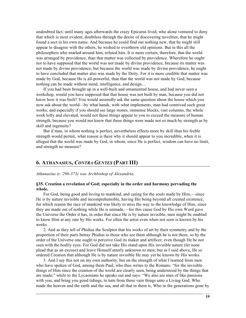undoubted fact; until many ages afterwards the crazy Epicurus lived, who alone ventured to deny that which is most evident, doubtless through the desire of discovering novelties, that he might found a sect in his own name. And because he could find out nothing new, that he might still appear to disagree with the others, he wished to overthrow old opinions. But in this all the philosophers who snarled around him, refuted him. It is more certain, therefore, that the world was arranged by providence, than that matter was collected by providence. Wherefore he ought not to have supposed that the world was not made by divine providence, because its matter was not made by divine providence; but because the world was made by divine providence, he ought to have concluded that matter also was made by the Deity. For it is more credible that matter was made by God, because He is all-powerful, than that the world was not made by God, because nothing can be made without mind, intelligence, and design…

If you had been brought up in a well-built and ornamented house, and had never seen a workshop, would you have supposed that that house was not built by man, because you did not know how it was built? You would assuredly ask the same question about the house which you now ask about the world—by what hands, with what implements, man had contrived such great works; and especially if you should see large stones, immense blocks, vast columns, the whole work lofty and elevated, would not these things appear to you to exceed the measure of human strength, because you would not know that these things were made not so much by strength as by skill and ingenuity?

But if man, in whom nothing is perfect, nevertheless effects more by skill than his feeble strength would permit, what reason is there why it should appear to you incredible, when it is alleged that the world was made by God, in whom, since He is perfect, wisdom can have no limit, and strength no measure?

## **6. ATHANASIUS,** *CONTRA GENTES* **(PART III)**

*Athanasius (c. 296-373) was Archbishop of Alexandria.*

#### **§35. Creation a revelation of God; especially in the order and harmony pervading the whole.**

For God, being good and loving to mankind, and caring for the souls made by Him,—since He is by nature invisible and incomprehensible, having His being beyond all created existence, for which reason the race of mankind was likely to miss the way to the knowledge of Him, since they are made out of nothing while He is unmade,—for this cause God by His own Word gave the Universe the Order it has, in order that since He is by nature invisible, men might be enabled to know Him at any rate by His works. For often the artist even when not seen is known by his works.

2. And as they tell of Phidias the Sculptor that his works of art by their symmetry and by the proportion of their parts betray Phidias to those who see them although he is not there, so by the order of the Universe one ought to perceive God its maker and artificer, even though He be not seen with the bodily eyes. For God did not take His stand upon His invisible nature (let none plead that as an excuse) and leave Himself utterly unknown to men; but as I said above, He so ordered Creation that although He is by nature invisible He may yet be known by His works.

3. And I say this not on my own authority, but on the strength of what I learned from men who have spoken of God, among them Paul, who thus writes to the Romans: "for the invisible things of Him since the creation of the world are clearly seen, being understood by the things that are made;" while to the Lycaonians he speaks out and says: "We also are men of like passions with you, and bring you good tidings, to turn from these vain things unto a Living God, Who made the heaven and the earth and the sea, and all that in them is, Who in the generations gone by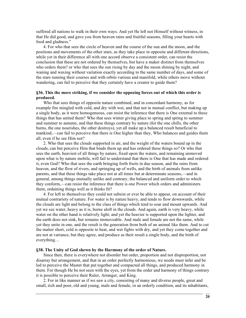suffered all nations to walk in their own ways. And yet He left not Himself without witness, in that He did good, and gave you from heaven rains and fruitful seasons, filling your hearts with food and gladness."

4. For who that sees the circle of heaven and the course of the sun and the moon, and the positions and movements of the other stars, as they take place in opposite and different directions, while yet in their difference all with one accord observe a consistent order, can resist the conclusion that these are not ordered by themselves, but have a maker distinct from themselves who orders them? or who that sees the sun rising by day and the moon shining by night, and waning and waxing without variation exactly according to the same number of days, and some of the stars running their courses and with orbits various and manifold, while others move without wandering, can fail to perceive that they certainly have a creator to guide them?

### **§36. This the more striking, if we consider the opposing forces out of which this order is produced.**

Who that sees things of opposite nature combined, and in concordant harmony, as for example fire mingled with cold, and dry with wet, and that not in mutual conflict, but making up a single body, as it were homogeneous, can resist the inference that there is One external to these things that has united them? Who that sees winter giving place to spring and spring to summer and summer to autumn, and that these things contrary by nature (for the one chills, the other burns, the one nourishes, the other destroys), yet all make up a balanced result beneficial to mankind,—can fail to perceive that there is One higher than they, Who balances and guides them all, even if he see Him not?

2. Who that sees the clouds supported in air, and the weight of the waters bound up in the clouds, can but perceive Him that binds them up and has ordered these things so? Or who that sees the earth, heaviest of all things by nature, fixed upon the waters, and remaining unmoved upon what is by nature mobile, will fail to understand that there is One that has made and ordered it, even God? Who that sees the earth bringing forth fruits in due season, and the rains from heaven, and the flow of rivers, and springing up of wells, and the birth of animals from unlike parents, and that these things take place not at all times but at determinate seasons,—and in general, among things mutually unlike and contrary, the balanced and uniform order to which they conform,—can resist the inference that there is one Power which orders and administers them, ordaining things well as it thinks fit?

4. For left to themselves they could not subsist or ever be able to appear, on account of their mutual contrariety of nature. For water is by nature heavy, and tends to flow downwards, while the clouds are light and belong to the class of things which tend to soar and mount upwards. And yet we see water, heavy as it is, borne aloft in the clouds. And again, earth is very heavy, while water on the other hand is relatively light; and yet the heavier is supported upon the lighter, and the earth does not sink, but remains immoveable. And male and female are not the same, while yet they unite in one, and the result is the generation from both of an animal like them. And to cut the matter short, cold is opposite to heat, and wet fights with dry, and yet they come together and are not at variance, but they agree, and produce as their result a single body, and the birth of everything…

#### **§38. The Unity of God shewn by the Harmony of the order of Nature.**

Since then, there is everywhere not disorder but order, proportion and not disproportion, not disarray but arrangement, and that in an order perfectly harmonious, we needs must infer and be led to perceive the Master that put together and compacted all things, and produced harmony in them. For though He be not seen with the eyes, yet from the order and harmony of things contrary it is possible to perceive their Ruler, Arranger, and King.

2. For in like manner as if we saw a city, consisting of many and diverse people, great and small, rich and poor, old and young, male and female, in an orderly condition, and its inhabitants,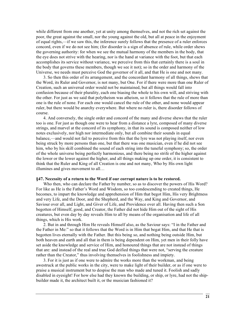while different from one another, yet at unity among themselves, and not the rich set against the poor, the great against the small, nor the young against the old, but all at peace in the enjoyment of equal rights,—if we saw this, the inference surely follows that the presence of a ruler enforces concord, even if we do not see him; (for disorder is a sign of absence of rule, while order shews the governing authority: for when we see the mutual harmony of the members in the body, that the eye does not strive with the hearing, nor is the hand at variance with the foot, but that each accomplishes its service without variance, we perceive from this that certainly there is a soul in the body that governs these members, though we see it not); so in the order and harmony of the Universe, we needs must perceive God the governor of it all, and that He is one and not many.

3. So then this order of its arrangement, and the concordant harmony of all things, shews that the Word, its Ruler and Governor, is not many, but One. For if there were more than one Ruler of Creation, such an universal order would not be maintained, but all things would fall into confusion because of their plurality, each one biasing the whole to his own will, and striving with the other. For just as we said that polytheism was atheism, so it follows that the rule of more than one is the rule of none. For each one would cancel the rule of the other, and none would appear ruler, but there would be anarchy everywhere. But where no ruler is, there disorder follows of course.

4. And conversely, the single order and concord of the many and diverse shews that the ruler too is one. For just as though one were to hear from a distance a lyre, composed of many diverse strings, and marvel at the concord of its symphony, in that its sound is composed neither of low notes exclusively, nor high nor intermediate only, but all combine their sounds in equal balance,—and would not fail to perceive from this that the lyre was not playing itself, nor even being struck by more persons than one, but that there was one musician, even if he did not see him, who by his skill combined the sound of each string into the tuneful symphony; so, the order of the whole universe being perfectly harmonious, and there being no strife of the higher against the lower or the lower against the higher, and all things making up one order, it is consistent to think that the Ruler and King of all Creation is one and not many, Who by His own light illumines and gives movement to all…

#### **§47. Necessity of a return to the Word if our corrupt nature is to be restored.**

Who then, who can declare the Father by number, so as to discover the powers of His Word? For like as He is the Father's Word and Wisdom, so too condescending to created things, He becomes, to impart the knowledge and apprehension of Him that begot Him, His very Brightness and very Life, and the Door, and the Shepherd, and the Way, and King and Governor, and Saviour over all, and Light, and Giver of Life, and Providence over all. Having then such a Son begotten of Himself, good, and Creator, the Father did not hide Him out of the sight of His creatures, but even day by day reveals Him to all by means of the organisation and life of all things, which is His work.

2. But in and through Him He reveals Himself also, as the Saviour says: "I in the Father and the Father in Me:" so that it follows that the Word is in Him that begat Him, and that He that is begotten lives eternally with the Father. But this being so, and nothing being outside Him, but both heaven and earth and all that in them is being dependent on Him, yet men in their folly have set aside the knowledge and service of Him, and honoured things that are not instead of things that are: and instead of the real and true God deified things that were not, "serving the creature rather than the Creator," thus involving themselves in foolishness and impiety.

3. For it is just as if one were to admire the works more than the workman, and being awestruck at the public works in the city, were to make light of their builder, or as if one were to praise a musical instrument but to despise the man who made and tuned it. Foolish and sadly disabled in eyesight! For how else had they known the building, or ship, or lyre, had not the shipbuilder made it, the architect built it, or the musician fashioned it?